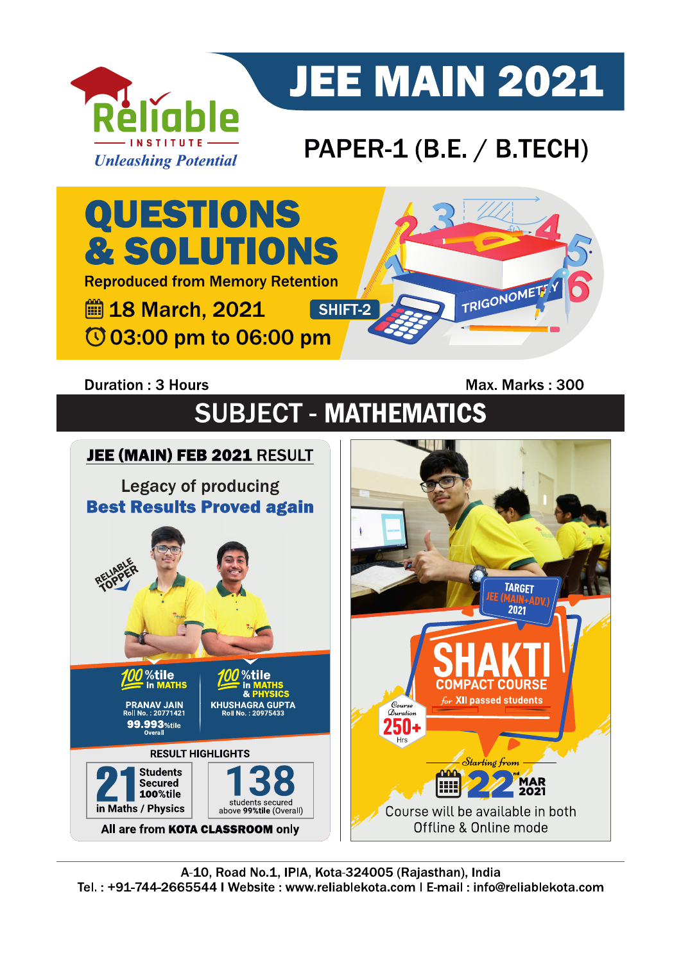

# **JEE MAIN 2021**

## PAPER-1 (B.E. / B.TECH)



### **Duration: 3 Hours**

Max. Marks: 300

# **SUBJECT - MATHEMATICS**

#### JEE (MAIN) FEB 2021 RESULT **Legacy of producing Best Results Proved again** IEE (MAIN) **TARGET** %tile %tile in MATHS **COMPACT COURSE** for XII passed students **PRANAV JAIN<br><sup>2</sup>0II No. : 20771421**  $\mathcal{D}_{uration}$ 99.993 %tile ЫΙ **RESULT HIGHLIGHTS** Starting from **Students nnn MAR**<br>2021 Secured E 100%tile students secured<br>above 99%tile (Overall) in Maths / Physics Course will be available in both Offline & Online mode All are from KOTA CLASSROOM only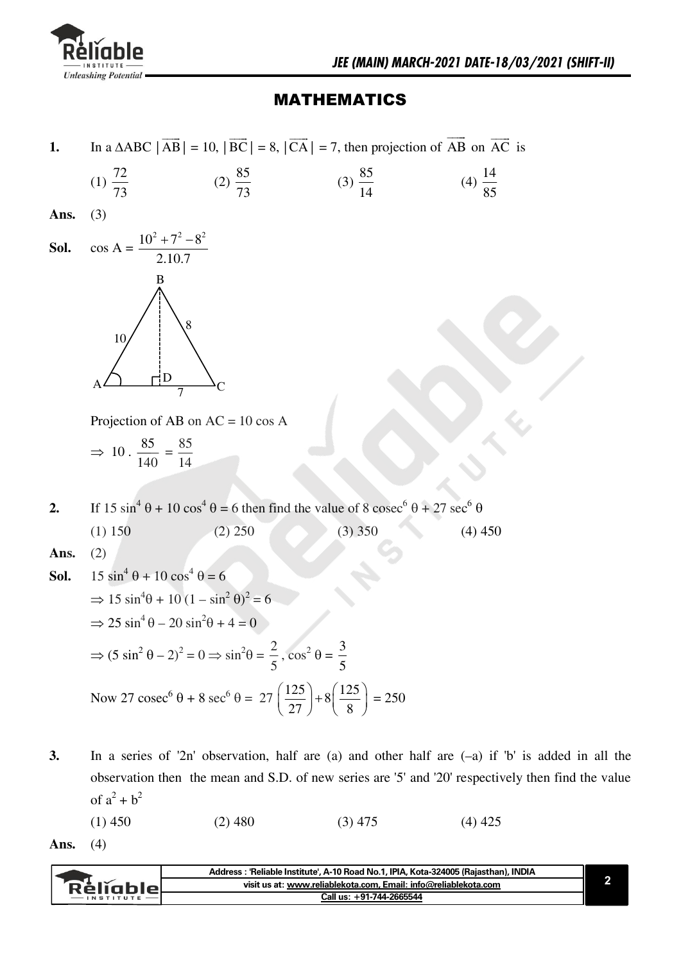

### **MATHEMATICS**

In a  $\triangle ABC$   $|\overrightarrow{AB}|$  = 10,  $|\overrightarrow{BC}|$  = 8,  $|\overrightarrow{CA}|$  = 7, then projection of  $\overrightarrow{AB}$  on  $\overrightarrow{AC}$  is  $1.$ 

(1) 
$$
\frac{72}{73}
$$
 (2)  $\frac{85}{73}$  (3)  $\frac{85}{14}$  (4)  $\frac{14}{85}$ 

Ans.  $(3)$ 



Projection of AB on  $AC = 10 \cos A$ 

$$
\Rightarrow 10 \cdot \frac{85}{140} = \frac{85}{14}
$$

If 15  $\sin^4 \theta + 10 \cos^4 \theta = 6$  then find the value of 8  $\csc^6 \theta + 27 \sec^6 \theta$  $2.$  $(3)$  350  $(1) 150$  $(2) 250$  $(4)$  450

Ans.  $(2)$ 

**Sol.** 
$$
15 \sin^4 \theta + 10 \cos^4 \theta = 6
$$
  
\n $\Rightarrow 15 \sin^4 \theta + 10 (1 - \sin^2 \theta)^2 = 6$   
\n $\Rightarrow 25 \sin^4 \theta - 20 \sin^2 \theta + 4 = 0$   
\n $\Rightarrow (5 \sin^2 \theta - 2)^2 = 0 \Rightarrow \sin^2 \theta = \frac{2}{5}, \cos^2 \theta = \frac{3}{5}$   
\nNow 27 cosec<sup>6</sup>  $\theta + 8 \sec^6 \theta = 27 (\frac{125}{27}) + 8 (\frac{125}{8}) = 250$ 

 $3.$ In a series of '2n' observation, half are (a) and other half are  $(-a)$  if 'b' is added in all the observation then the mean and S.D. of new series are '5' and '20' respectively then find the value of  $a^2 + b^2$ 

 $(1)$  450  $(2)$  480  $(3)$  475  $(4)$  425

Ans.  $(4)$ 

|           | Address: 'Reliable Institute', A-10 Road No.1, IPIA, Kota-324005 (Rajasthan), INDIA |  |
|-----------|-------------------------------------------------------------------------------------|--|
| Rélighiel | visit us at: www.reliablekota.com, Email: info@reliablekota.com                     |  |
|           | Call us: +91-744-2665544                                                            |  |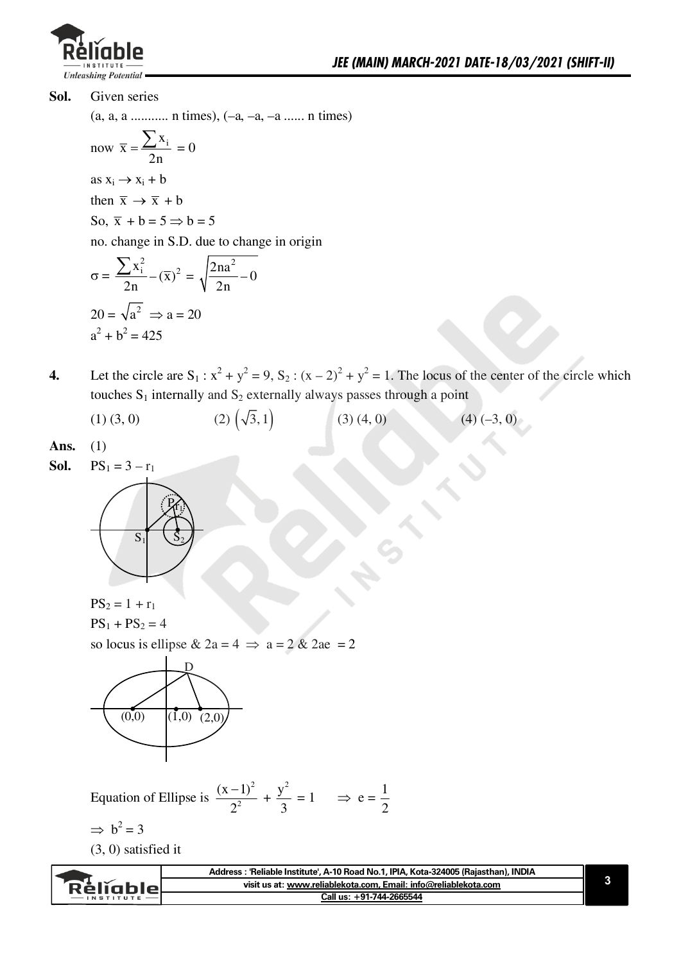

Sol. Given series

 $(a, a, a \dots \dots \dots n \text{ times}), (-a, -a, -a \dots n \text{ times})$ 

now 
$$
\overline{x} = \frac{\sum x_i}{2n} = 0
$$
  
as  $x_i \rightarrow x_i + b$   
then  $\overline{x} \rightarrow \overline{x} + b$   
So,  $\overline{x} + b = 5 \Rightarrow b = 5$   
no change in S.D due to

no. change in S.D. due to change in origin

$$
\sigma = \frac{\sum x_i^2}{2n} - (\overline{x})^2 = \sqrt{\frac{2na^2}{2n}} - 0
$$
  
20 =  $\sqrt{a^2} \implies a = 20$   

$$
a^2 + b^2 = 425
$$

- Let the circle are  $S_1$ :  $x^2 + y^2 = 9$ ,  $S_2$ :  $(x 2)^2 + y^2 = 1$ . The locus of the center of the circle which  $\boldsymbol{4}$ . touches  $S_1$  internally and  $S_2$  externally always passes through a point
	- $(2) (\sqrt{3}, 1)$  $(1)$   $(3, 0)$  $(3)$   $(4, 0)$  $(4) (-3, 0)$

Ans.  $(1)$ 

$$
Sol. PS1 = 3 - r1
$$



 $PS_2 = 1 + r_1$  $PS_1 + PS_2 = 4$ 

so locus is ellipse & 2a = 4  $\Rightarrow$  a = 2 & 2ae = 2



Equation of Ellipse is  $\frac{(x-1)^2}{2^2} + \frac{y^2}{3} = 1 \implies e = \frac{1}{2}$ 

 $\Rightarrow$  b<sup>2</sup> = 3

 $(3, 0)$  satisfied it

|                  | Address: 'Reliable Institute', A-10 Road No.1, IPIA, Kota-324005 (Rajasthan), INDIA |  |
|------------------|-------------------------------------------------------------------------------------|--|
| Réliable.        | visit us at: www.reliablekota.com. Email: info@reliablekota.com                     |  |
| <b>INSTITUTE</b> | Call us: +91-744-2665544                                                            |  |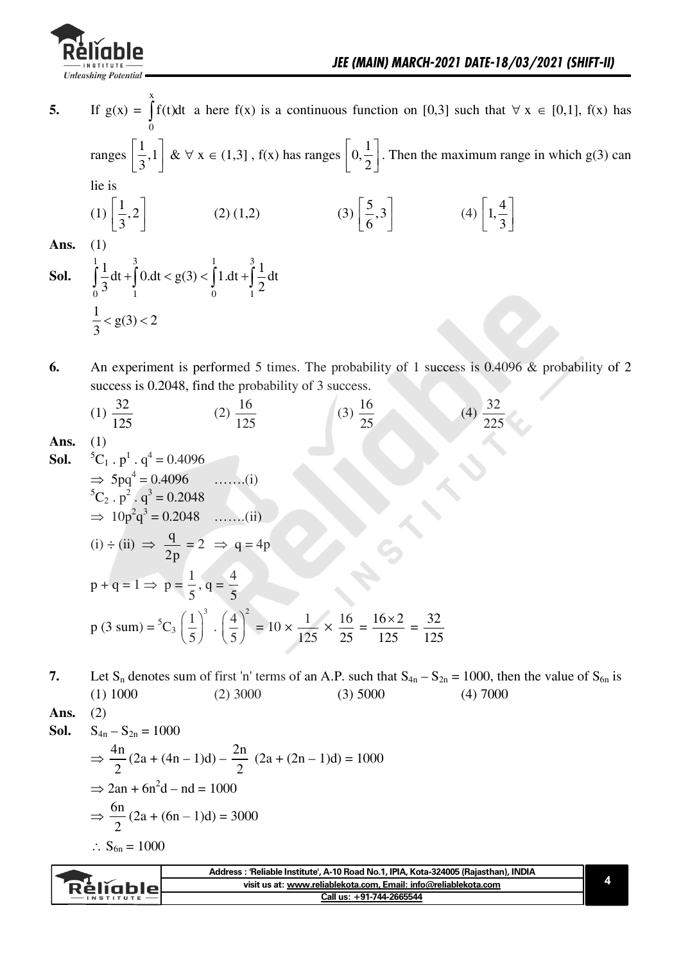

If  $g(x) = \int f(t)dt$  a here  $f(x)$  is a continuous function on [0,3] such that  $\forall x \in [0,1]$ ,  $f(x)$  has 5. ranges  $\left[\frac{1}{3},1\right]$  &  $\forall$  x  $\in$  (1,3], f(x) has ranges  $\left[0,\frac{1}{2}\right]$ . Then the maximum range in which g(3) can lie is (2) (1,2) (3)  $\left[\frac{5}{6},3\right]$  (4)  $\left[1,\frac{4}{3}\right]$ (1)  $\left[\frac{1}{3},2\right]$ Ans. **Sol.**  $\int_{0}^{1} \frac{1}{3} dt + \int_{1}^{3} 0 dt < g(3) < \int_{0}^{1} 1 dt + \int_{1}^{3} \frac{1}{2} dt$  $\frac{1}{2}$  < g(3) < 2 6. An experiment is performed 5 times. The probability of 1 success is 0.4096 & probability of 2 success is 0.2048, find the probability of 3 success. (1)  $\frac{32}{125}$  $(2) \frac{16}{125}$ (3)  $\frac{16}{25}$ (4)  $\frac{32}{225}$  $(1)$ 

Ans

**Sol.** 
$$
{}^{5}C_{1} \cdot p^{1} \cdot q^{4} = 0.4096
$$
  
\n $\Rightarrow 5pq^{4} = 0.4096$  ......(i)  
\n ${}^{5}C_{2} \cdot p^{2} \cdot q^{3} = 0.2048$   
\n $\Rightarrow 10p^{2}q^{3} = 0.2048$  ......(ii)  
\n(i)  $\div$  (ii)  $\Rightarrow \frac{q}{2p} = 2 \Rightarrow q = 4p$   
\n $p + q = 1 \Rightarrow p = \frac{1}{5}, q = \frac{4}{5}$   
\n $p (3 \text{ sum}) = {}^{5}C_{3} (\frac{1}{5})^{3} \cdot (\frac{4}{5})^{2} = 10 \times \frac{1}{125} \times \frac{16}{25} = \frac{16 \times 2}{125} = \frac{32}{125}$ 

7. Let S<sub>n</sub> denotes sum of first 'n' terms of an A.P. such that  $S_{4n} - S_{2n} = 1000$ , then the value of S<sub>6n</sub> is  $(1) 1000$  $(2)$  3000  $(3)$  5000  $(4)$  7000

Ans.  $(2)$ 

**Sol.** 
$$
S_{4n} - S_{2n} = 1000
$$
  
\n $\Rightarrow \frac{4n}{2} (2a + (4n - 1)d) - \frac{2n}{2} (2a + (2n - 1)d) = 1000$   
\n $\Rightarrow 2an + 6n^2d - nd = 1000$   
\n $\Rightarrow \frac{6n}{2} (2a + (6n - 1)d) = 3000$   
\n $\therefore S_{6n} = 1000$ 

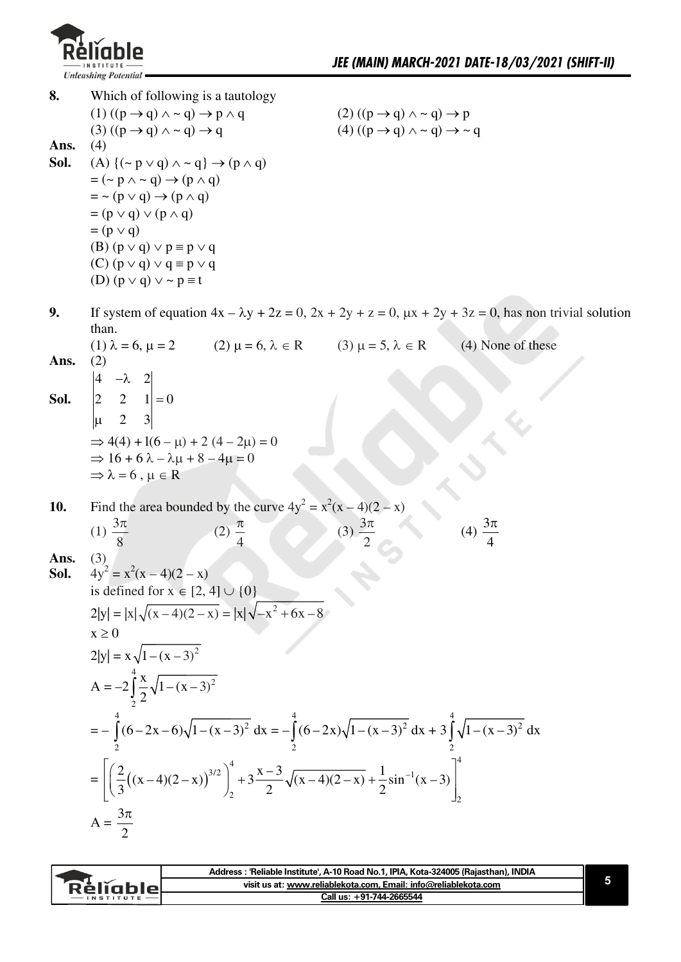

| 8.         | Which of following is a tautology                                                                                                                                  |                                                                                                                        |
|------------|--------------------------------------------------------------------------------------------------------------------------------------------------------------------|------------------------------------------------------------------------------------------------------------------------|
|            | $(1) ((p \rightarrow q) \land \sim q) \rightarrow p \land q$                                                                                                       | $(2) ((p \rightarrow q) \land \sim q) \rightarrow p$                                                                   |
|            | $(3) ((p \rightarrow q) \land \sim q) \rightarrow q$                                                                                                               | $(4) ((p \rightarrow q) \land \sim q) \rightarrow \sim q$                                                              |
| Ans.       | (4)                                                                                                                                                                |                                                                                                                        |
| Sol.       | $(A)$ { $(\sim p \vee q) \wedge \sim q$ } $\rightarrow (p \wedge q)$                                                                                               |                                                                                                                        |
|            | $= (\sim p \land \sim q) \rightarrow (p \land q)$                                                                                                                  |                                                                                                                        |
|            | $=$ ~ (p $\vee$ q) $\rightarrow$ (p $\wedge$ q)<br>$= (p \vee q) \vee (p \wedge q)$                                                                                |                                                                                                                        |
|            | $= (p \vee q)$                                                                                                                                                     |                                                                                                                        |
|            | (B) $(p \vee q) \vee p \equiv p \vee q$                                                                                                                            |                                                                                                                        |
|            | $(C)$ $(p \vee q) \vee q \equiv p \vee q$                                                                                                                          |                                                                                                                        |
|            | (D) $(p \vee q) \vee \sim p \equiv t$                                                                                                                              |                                                                                                                        |
|            |                                                                                                                                                                    |                                                                                                                        |
| 9.         |                                                                                                                                                                    | If system of equation $4x - \lambda y + 2z = 0$ , $2x + 2y + z = 0$ , $\mu x + 2y + 3z = 0$ , has non trivial solution |
|            | than.                                                                                                                                                              |                                                                                                                        |
|            | (1) $\lambda = 6$ , $\mu = 2$<br>(2) $\mu = 6$ , $\lambda \in R$<br>(3) $\mu = 5$ , $\lambda \in R$                                                                | (4) None of these                                                                                                      |
| Ans.       | (2)                                                                                                                                                                |                                                                                                                        |
|            |                                                                                                                                                                    |                                                                                                                        |
|            | <b>Sol.</b> $\begin{vmatrix} 4 & -\lambda & 2 \\ 2 & 2 & 1 \\ 1 & 2 & 3 \end{vmatrix} = 0$                                                                         |                                                                                                                        |
|            |                                                                                                                                                                    |                                                                                                                        |
|            | $\Rightarrow$ 4(4) + 1(6 – $\mu$ ) + 2 (4 – 2 $\mu$ ) = 0                                                                                                          |                                                                                                                        |
|            | $\Rightarrow 16 + 6\lambda - \lambda\mu + 8 - 4\mu = 0$                                                                                                            |                                                                                                                        |
|            | $\Rightarrow \lambda = 6$ , $\mu \in R$                                                                                                                            |                                                                                                                        |
| <b>10.</b> | Find the area bounded by the curve $4y^2 = x^2(x-4)(2-x)$                                                                                                          |                                                                                                                        |
|            |                                                                                                                                                                    |                                                                                                                        |
|            | (1) $\frac{3\pi}{8}$<br>$(2)\frac{\pi}{4}$                                                                                                                         | (4) $\frac{3\pi}{4}$<br>(3) $\frac{3\pi}{2}$                                                                           |
| Ans.       | (3)                                                                                                                                                                |                                                                                                                        |
| Sol.       | $4y^2 = x^2(x-4)(2-x)$                                                                                                                                             |                                                                                                                        |
|            | is defined for $x \in [2, 4] \cup \{0\}$                                                                                                                           |                                                                                                                        |
|            | $2 y  =  x \sqrt{(x-4)(2-x)} =  x \sqrt{-x^2+6x-8}$                                                                                                                |                                                                                                                        |
|            | $x \geq 0$                                                                                                                                                         |                                                                                                                        |
|            | $2 y  = x\sqrt{1-(x-3)^2}$                                                                                                                                         |                                                                                                                        |
|            | $A = -2 \int_{0}^{4} \frac{x}{2} \sqrt{1 - (x - 3)^2}$                                                                                                             |                                                                                                                        |
|            |                                                                                                                                                                    |                                                                                                                        |
|            | $= - \int_{0}^{4} (6-2x-6)\sqrt{1-(x-3)^2} dx = - \int_{0}^{4} (6-2x)\sqrt{1-(x-3)^2} dx + 3 \int_{0}^{4} \sqrt{1-(x-3)^2} dx$                                     |                                                                                                                        |
|            | $= \left  \left( \frac{2}{3} \left( (x-4)(2-x) \right)^{3/2} \right)_{2}^{4} + 3 \frac{x-3}{2} \sqrt{(x-4)(2-x)} + \frac{1}{2} \sin^{-1}(x-3) \right ^{4} \right $ |                                                                                                                        |
|            | $A = \frac{3\pi}{2}$                                                                                                                                               |                                                                                                                        |

| visit us at: www.reliablekota.com. Email: info@reliablekota.com<br><b>Réligble</b><br>Call us: +91-744-2665544 | Address: 'Reliable Institute', A-10 Road No.1, IPIA, Kota-324005 (Rajasthan), INDIA |  |
|----------------------------------------------------------------------------------------------------------------|-------------------------------------------------------------------------------------|--|
|                                                                                                                |                                                                                     |  |
|                                                                                                                |                                                                                     |  |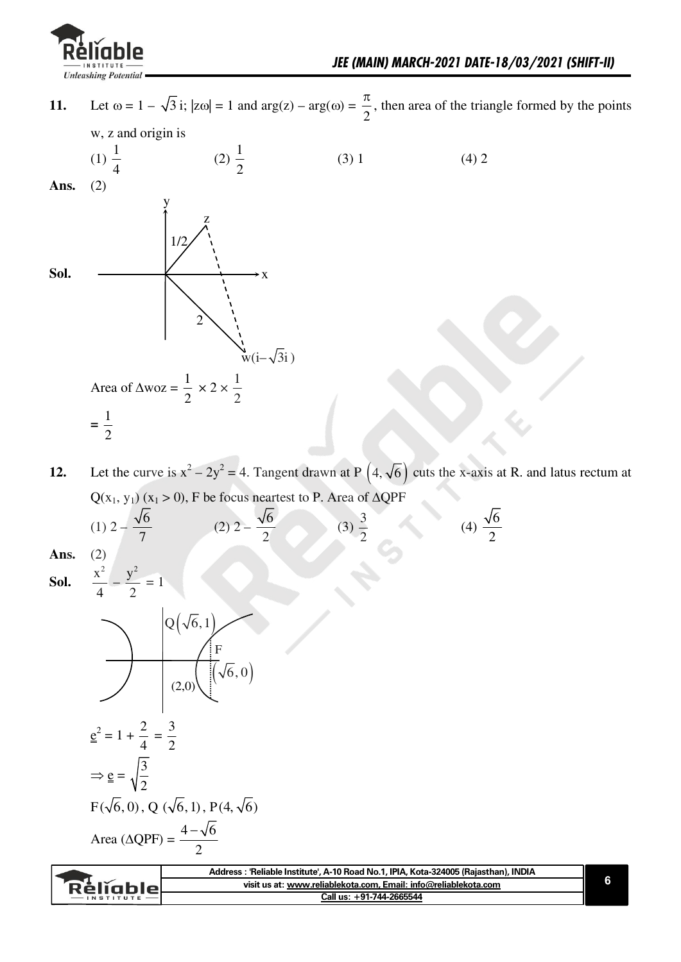

**11.** Let  $\omega = 1 - \sqrt{3}$  i;  $|z\omega| = 1$  and  $arg(z) - arg(\omega) =$  $\overline{c}$  $\frac{\pi}{6}$ , then area of the triangle formed by the points  $w$ , z and origin is  $(1) \frac{1}{4}$ 4  $(2) \frac{1}{2}$  $\overline{\mathbf{c}}$  $(3) 1$  (4) 2 Ans.  $(2)$ Sol.  $\longrightarrow x$ x  $w(i-\sqrt{3}i)$  $\overline{c}$  $1/2$ w Area of  $\triangle$ woz =  $\frac{1}{2}$  $\overline{c}$  $\times$  2  $\times$   $\frac{1}{2}$  $\overline{c}$  $=$  $\frac{1}{2}$  $\overline{\mathbf{c}}$ 

**12.** Let the curve is  $x^2 - 2y^2 = 4$ . Tangent drawn at P  $(4, \sqrt{6})$  cuts the x-axis at R. and latus rectum at  $Q(x_1, y_1)$  (x<sub>1</sub> > 0), F be focus neartest to P. Area of  $\triangle QPF$ 

(1) 
$$
2 - \frac{\sqrt{6}}{7}
$$
 (2)  $2 - \frac{\sqrt{6}}{2}$  (3)  $\frac{3}{2}$  (4)  $\frac{\sqrt{6}}{2}$ 

**Ans.** (2)

**Sol.**  $\mathbf{x}^2$ 4

 $\overline{\phantom{a}}$  $y^2$ 

 $=1$ 



 $\overline{c}$ 

| visit us at: www.reliablekota.com, Email: info@reliablekota.com<br>Rèliable. |  |
|------------------------------------------------------------------------------|--|
| Call us: +91-744-2665544<br>$-$ INSTITUTE                                    |  |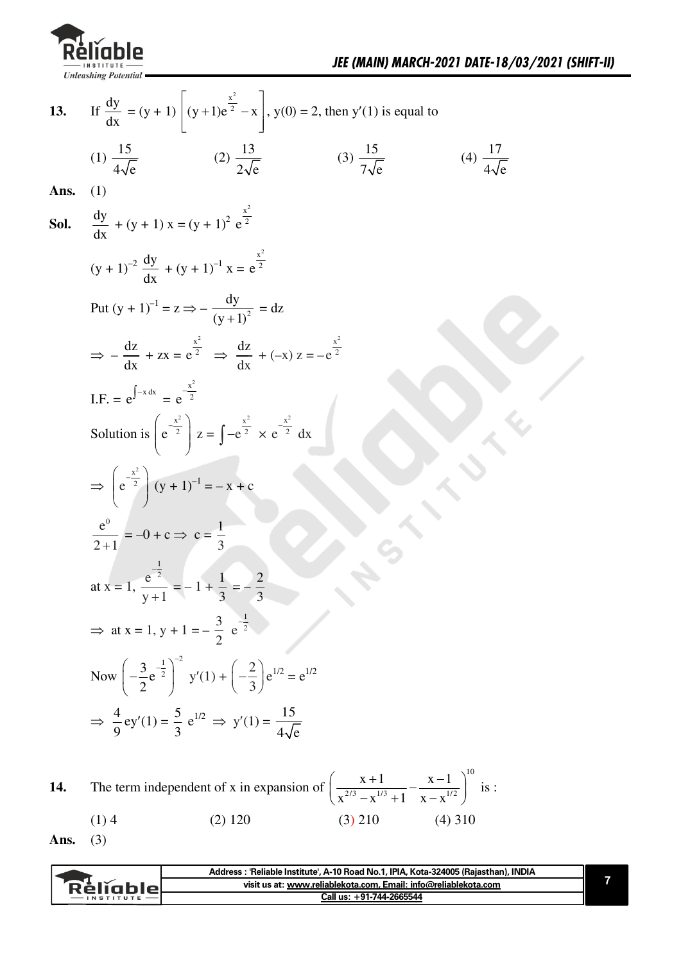

If  $\frac{dy}{dx} = (y + 1) \left[ (y + 1)e^{\frac{x^2}{2}} - x \right]$ ,  $y(0) = 2$ , then  $y'(1)$  is equal to 13. (1)  $\frac{15}{4\sqrt{6}}$ (4)  $\frac{17}{4}$ (2)  $\frac{13}{2\sqrt{e}}$  (3)  $\frac{15}{7\sqrt{e}}$ Ans. **Sol.**  $\frac{dy}{dx} + (y+1)x = (y+1)^2 e^{\frac{x^2}{2}}$  $(y + 1)^{-2} \frac{dy}{dx} + (y + 1)^{-1} x = e^{\frac{x^2}{2}}$ Put  $(y + 1)^{-1} = z \implies -\frac{dy}{(y + 1)^2} = dz$  $\Rightarrow -\frac{dz}{dx} + zx = e^{\frac{x^2}{2}} \Rightarrow \frac{dz}{dx} + (-x) z = -e^{\frac{x^2}{2}}$ I.F. =  $e^{\int -x dx}$  -  $e^{\frac{x^2}{2}}$ Solution is  $\left(e^{\frac{x^2}{2}}\right)z = \int -e^{\frac{x^2}{2}} \times e^{\frac{x^2}{2}} dx$  $\Rightarrow$   $\left( e^{-\frac{x^2}{2}} \right) (y+1)^{-1} = -x + c$  $rac{e^{0}}{2+1} = -0 + c \Rightarrow c = \frac{1}{3}$ at x = 1,  $\frac{e^{-\frac{1}{2}}}{y+1}$  = -1 +  $\frac{1}{3}$  = -2 ⇒ at x = 1, y + 1 =  $-\frac{3}{2}$  e<sup> $\frac{1}{2}$ </sup> Now  $\left(-\frac{3}{2}e^{-\frac{1}{2}}\right)^{-2}$   $y'(1) + \left(-\frac{2}{3}\right)e^{1/2} = e^{1/2}$  $\Rightarrow \frac{4}{9}$  ey'(1) =  $\frac{5}{3}$  e<sup>1/2</sup>  $\Rightarrow$  y'(1) =  $\frac{15}{4\sqrt{2}}$ The term independent of x in expansion of  $\left(\frac{x+1}{x^{2/3} - x^{1/3} + 1} - \frac{x-1}{x^{1/2}}\right)^{10}$  is : 14.

 $(1)4$  $(2)$  120  $(3)$  210  $(4)$  310

Ans.  $(3)$ 

| visit us at: www.reliablekota.com, Email: info@reliablekota.com<br>Relighiel |                  | INDIA<br>: 'Reliable Institute', A-10 Road No.1, IPIA, Kota-324005 (Rajasthan), a<br>Address |
|------------------------------------------------------------------------------|------------------|----------------------------------------------------------------------------------------------|
|                                                                              |                  |                                                                                              |
|                                                                              | <b>INSTITUTE</b> | Call us: +91-744-2665544                                                                     |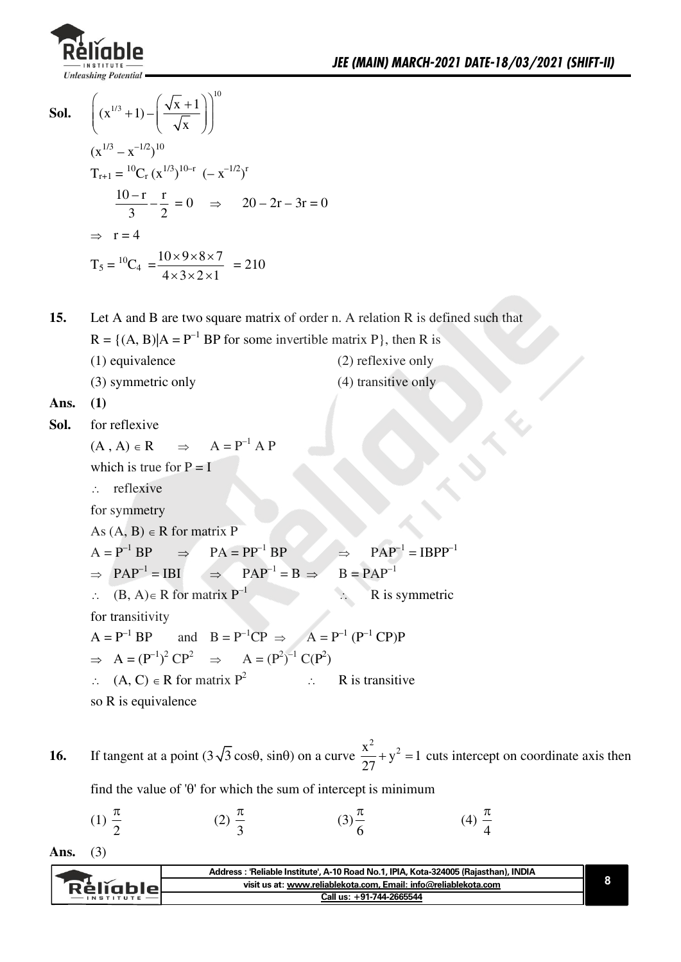

**Sol.** 
$$
\left( (x^{1/3} + 1) - \left( \frac{\sqrt{x} + 1}{\sqrt{x}} \right) \right)^{10}
$$

$$
(x^{1/3} - x^{-1/2})^{10}
$$

$$
T_{r+1} = {}^{10}C_r (x^{1/3})^{10-r} (-x^{-1/2})^r
$$

$$
\frac{10-r}{3} - \frac{r}{2} = 0 \implies 20 - 2r - 3r = 0
$$

$$
\implies r = 4
$$

$$
T_5 = {}^{10}C_4 = \frac{10 \times 9 \times 8 \times 7}{4 \times 3 \times 2 \times 1} = 210
$$

Let A and B are two square matrix of order n. A relation R is defined such that  $15.$  $R = \{(A, B)|A = P^{-1}BP$  for some invertible matrix P, then R is  $(1)$  equivalence  $(2)$  reflexive only (3) symmetric only  $(4)$  transitive only

Ans. 
$$
(1)
$$

Sol. for reflexive

> $\Rightarrow$  A = P<sup>-1</sup> A P  $(A, A) \in R$ which is true for  $P = I$  $\therefore$  reflexive for symmetry As  $(A, B) \in R$  for matrix P  $PA = PP^{-1} BP$  $A = P^{-1} BP \implies$  $PAP^{-1} = IBPP^{-1}$  $\Rightarrow$  $\Rightarrow$  PAP<sup>-1</sup> = IBI  $PAP^{-1} = B \Rightarrow$  $B = PAP^{-1}$  $\Rightarrow$  $\therefore$  (B, A)  $\in$  R for matrix P<sup>-1</sup> R is symmetric  $\ddot{\cdot}$ for transitivity and  $B = P^{-1}CP \implies A = P^{-1}(P^{-1}CP)P$  $A = P^{-1} BP$  $\Rightarrow A = (P^{-1})^2 CP^2 \Rightarrow A = (P^2)^{-1} C(P^2)$  $\therefore$  (A, C)  $\in$  R for matrix P<sup>2</sup>  $\mathcal{L} = \mathcal{L} \mathcal{L}$ R is transitive so R is equivalence

If tangent at a point  $(3\sqrt{3}\cos\theta, \sin\theta)$  on a curve  $\frac{x^2}{27} + y^2 = 1$  cuts intercept on coordinate axis then 16.

find the value of ' $\theta$ ' for which the sum of intercept is minimum

(1) 
$$
\frac{\pi}{2}
$$
 \t\t (2)  $\frac{\pi}{3}$  \t\t (3)  $\frac{\pi}{6}$  \t\t (4)  $\frac{\pi}{4}$ 

```
Ans.
(3)
```

| visit us at: www.reliablekota.com. Email: info@reliablekota.com<br>Rélighiel |
|------------------------------------------------------------------------------|
| Call us: +91-744-2665544                                                     |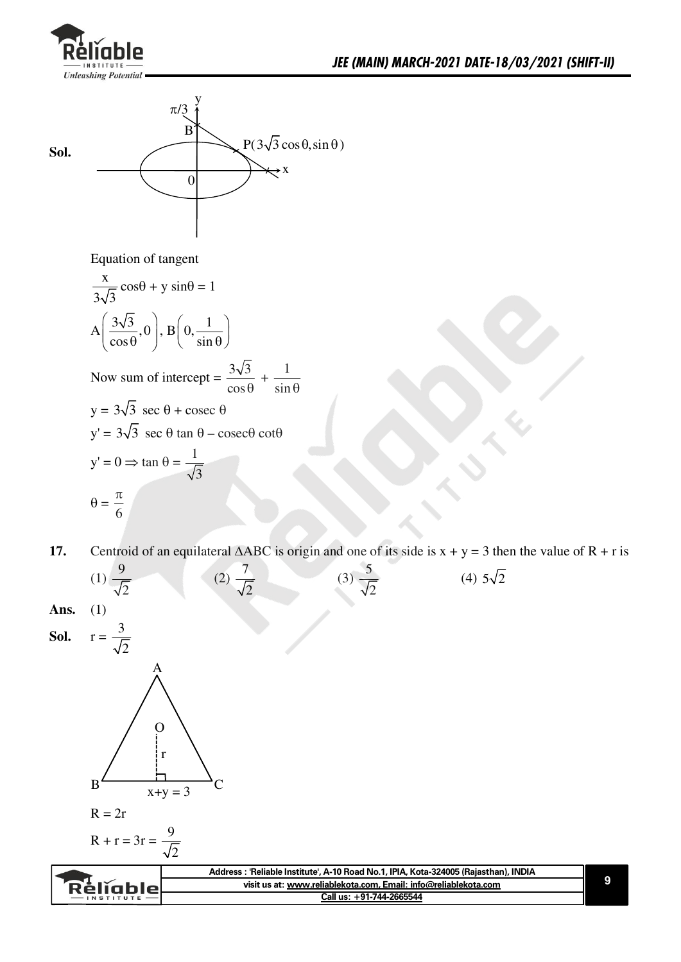



Equation of tangent

$$
\frac{x}{3\sqrt{3}}\cos\theta + y\sin\theta = 1
$$
  
\n
$$
A\left(\frac{3\sqrt{3}}{\cos\theta}, 0\right), B\left(0, \frac{1}{\sin\theta}\right)
$$
  
\nNow sum of intercept =  $\frac{3\sqrt{3}}{\cos\theta} + \frac{1}{\sin\theta}$   
\n
$$
y = 3\sqrt{3}\sec\theta + \csc\theta
$$
  
\n
$$
y' = 3\sqrt{3}\sec\theta\tan\theta - \csc\theta\cot\theta
$$
  
\n
$$
y' = 0 \Rightarrow \tan\theta = \frac{1}{\sqrt{3}}
$$
  
\n
$$
\theta = \frac{\pi}{6}
$$

**17.** Centroid of an equilateral  $\triangle ABC$  is origin and one of its side is  $x + y = 3$  then the value of  $R + r$  is



**9**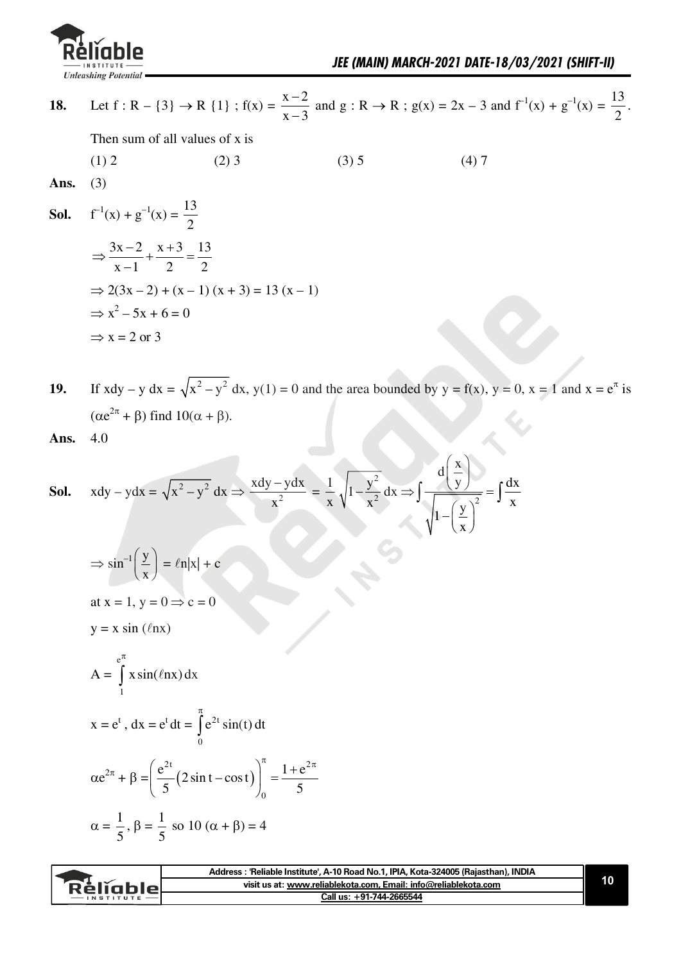

|      |                                                                         |                                                                                                             | Call us: +91-744-2665544                                                                                                                                                                                                     |                                                                                                                                           |    |
|------|-------------------------------------------------------------------------|-------------------------------------------------------------------------------------------------------------|------------------------------------------------------------------------------------------------------------------------------------------------------------------------------------------------------------------------------|-------------------------------------------------------------------------------------------------------------------------------------------|----|
|      |                                                                         |                                                                                                             | Address : 'Reliable Institute', A-10 Road No.1, IPIA, Kota-324005 (Rajasthan), INDIA<br>visit us at: www.reliablekota.com, Email: info@reliablekota.com                                                                      |                                                                                                                                           | 10 |
|      |                                                                         |                                                                                                             |                                                                                                                                                                                                                              |                                                                                                                                           |    |
|      |                                                                         |                                                                                                             |                                                                                                                                                                                                                              |                                                                                                                                           |    |
|      |                                                                         | $\alpha = \frac{1}{5}$ , $\beta = \frac{1}{5}$ so 10 ( $\alpha + \beta$ ) = 4                               |                                                                                                                                                                                                                              |                                                                                                                                           |    |
|      |                                                                         |                                                                                                             |                                                                                                                                                                                                                              |                                                                                                                                           |    |
|      |                                                                         | $\alpha e^{2\pi} + \beta = \left(\frac{e^{2t}}{5}(2 \sin t - \cos t)\right)_0^{1} = \frac{1 + e^{2\pi}}{5}$ |                                                                                                                                                                                                                              |                                                                                                                                           |    |
|      |                                                                         |                                                                                                             |                                                                                                                                                                                                                              |                                                                                                                                           |    |
|      |                                                                         | $x = e^{t}$ , $dx = e^{t} dt = \int_{0}^{t} e^{2t} \sin(t) dt$                                              |                                                                                                                                                                                                                              |                                                                                                                                           |    |
|      |                                                                         |                                                                                                             |                                                                                                                                                                                                                              |                                                                                                                                           |    |
|      | $A = \int x \sin(\ell nx) dx$                                           |                                                                                                             |                                                                                                                                                                                                                              |                                                                                                                                           |    |
|      |                                                                         |                                                                                                             |                                                                                                                                                                                                                              |                                                                                                                                           |    |
|      | $y = x \sin(\ell nx)$                                                   |                                                                                                             |                                                                                                                                                                                                                              |                                                                                                                                           |    |
|      | at $x = 1$ , $y = 0 \implies c = 0$                                     |                                                                                                             |                                                                                                                                                                                                                              |                                                                                                                                           |    |
|      | $\Rightarrow$ sin <sup>-1</sup> $\left(\frac{y}{x}\right) = \ln x  + c$ |                                                                                                             |                                                                                                                                                                                                                              |                                                                                                                                           |    |
|      |                                                                         |                                                                                                             |                                                                                                                                                                                                                              |                                                                                                                                           |    |
|      |                                                                         |                                                                                                             |                                                                                                                                                                                                                              |                                                                                                                                           |    |
| Sol. |                                                                         |                                                                                                             | $xdy - ydx = \sqrt{x^2 - y^2} dx \Rightarrow \frac{xdy - ydx}{x^2} = \frac{1}{x} \sqrt{1 - \frac{y^2}{x^2}} dx \Rightarrow \int \frac{d\left(\frac{x}{y}\right)}{\sqrt{1 - \left(\frac{y}{x}\right)^2}} = \int \frac{dx}{x}$ |                                                                                                                                           |    |
|      |                                                                         |                                                                                                             |                                                                                                                                                                                                                              |                                                                                                                                           |    |
| Ans. | 4.0                                                                     |                                                                                                             |                                                                                                                                                                                                                              |                                                                                                                                           |    |
|      | $(\alpha e^{2\pi} + \beta)$ find $10(\alpha + \beta)$ .                 |                                                                                                             |                                                                                                                                                                                                                              |                                                                                                                                           |    |
| 19.  |                                                                         |                                                                                                             |                                                                                                                                                                                                                              | If $xdy - y dx = \sqrt{x^2 - y^2} dx$ , $y(1) = 0$ and the area bounded by $y = f(x)$ , $y = 0$ , $x = 1$ and $x = e^{\pi}$ is            |    |
|      |                                                                         |                                                                                                             |                                                                                                                                                                                                                              |                                                                                                                                           |    |
|      | $\Rightarrow$ x = 2 or 3                                                |                                                                                                             |                                                                                                                                                                                                                              |                                                                                                                                           |    |
|      | $\Rightarrow x^2 - 5x + 6 = 0$                                          |                                                                                                             |                                                                                                                                                                                                                              |                                                                                                                                           |    |
|      |                                                                         | $\Rightarrow$ 2(3x – 2) + (x – 1) (x + 3) = 13 (x – 1)                                                      |                                                                                                                                                                                                                              |                                                                                                                                           |    |
|      | $\Rightarrow \frac{3x-2}{x-1} + \frac{x+3}{2} = \frac{13}{2}$           |                                                                                                             |                                                                                                                                                                                                                              |                                                                                                                                           |    |
|      |                                                                         |                                                                                                             |                                                                                                                                                                                                                              |                                                                                                                                           |    |
| Sol. | $f^{-1}(x) + g^{-1}(x) = \frac{13}{2}$                                  |                                                                                                             |                                                                                                                                                                                                                              |                                                                                                                                           |    |
| Ans. | (3)                                                                     |                                                                                                             |                                                                                                                                                                                                                              |                                                                                                                                           |    |
|      | (1) 2                                                                   | $(2)$ 3                                                                                                     | $(3)$ 5                                                                                                                                                                                                                      | (4)7                                                                                                                                      |    |
|      |                                                                         | Then sum of all values of x is                                                                              |                                                                                                                                                                                                                              |                                                                                                                                           |    |
| 18.  |                                                                         |                                                                                                             |                                                                                                                                                                                                                              | Let $f: R - \{3\} \to R \{1\}$ ; $f(x) = \frac{x-2}{x-3}$ and $g: R \to R$ ; $g(x) = 2x - 3$ and $f^{-1}(x) + g^{-1}(x) = \frac{13}{2}$ . |    |
|      |                                                                         |                                                                                                             |                                                                                                                                                                                                                              |                                                                                                                                           |    |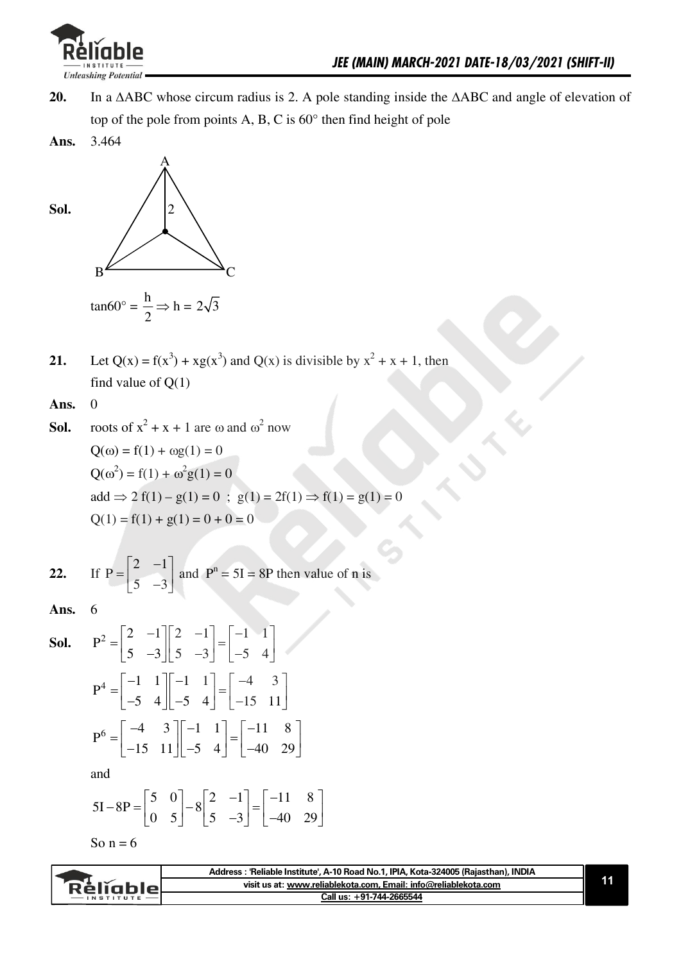

- In a  $\triangle$ ABC whose circum radius is 2. A pole standing inside the  $\triangle$ ABC and angle of elevation of 20. top of the pole from points A, B, C is 60° then find height of pole
- 3.464 Ans.



Let Q(x) =  $f(x^3)$  +  $xg(x^3)$  and Q(x) is divisible by  $x^2 + x + 1$ , then  $21.$ find value of  $Q(1)$ 

Ans.  $\mathbf{0}$ 

**Sol.** roots of 
$$
x^2 + x + 1
$$
 are  $\omega$  and  $\omega^2$  now  
\n
$$
Q(\omega) = f(1) + \omega g(1) = 0
$$
\n
$$
Q(\omega^2) = f(1) + \omega^2 g(1) = 0
$$
\n
$$
add \Rightarrow 2 f(1) - g(1) = 0 ; g(1) = 2f(1) \Rightarrow f(1) = g(1) = 0
$$
\n
$$
Q(1) = f(1) + g(1) = 0 + 0 = 0
$$

22. If 
$$
P = \begin{bmatrix} 2 & -1 \\ 5 & -3 \end{bmatrix}
$$
 and  $P^n = 5I = 8P$  then value of n is

Ans. 6

**Sol.** 
$$
P^2 = \begin{bmatrix} 2 & -1 \\ 5 & -3 \end{bmatrix} \begin{bmatrix} 2 & -1 \\ 5 & -3 \end{bmatrix} = \begin{bmatrix} -1 & 1 \\ -5 & 4 \end{bmatrix}
$$
  
\n $P^4 = \begin{bmatrix} -1 & 1 \\ -5 & 4 \end{bmatrix} \begin{bmatrix} -1 & 1 \\ -5 & 4 \end{bmatrix} = \begin{bmatrix} -4 & 3 \\ -15 & 11 \end{bmatrix}$   
\n $P^6 = \begin{bmatrix} -4 & 3 \\ -15 & 11 \end{bmatrix} \begin{bmatrix} -1 & 1 \\ -5 & 4 \end{bmatrix} = \begin{bmatrix} -11 & 8 \\ -40 & 29 \end{bmatrix}$ 

and

$$
5I - 8P = \begin{bmatrix} 5 & 0 \\ 0 & 5 \end{bmatrix} - 8 \begin{bmatrix} 2 & -1 \\ 5 & -3 \end{bmatrix} = \begin{bmatrix} -11 & 8 \\ -40 & 29 \end{bmatrix}
$$

So  $n = 6$ 

|            | Address: 'Reliable Institute', A-10 Road No.1, IPIA, Kota-324005 (Rajasthan), INDIA |  |
|------------|-------------------------------------------------------------------------------------|--|
| `RěliableL | visit us at: www.reliablekota.com, Email: info@reliablekota.com                     |  |
|            | Call us: +91-744-2665544                                                            |  |
|            |                                                                                     |  |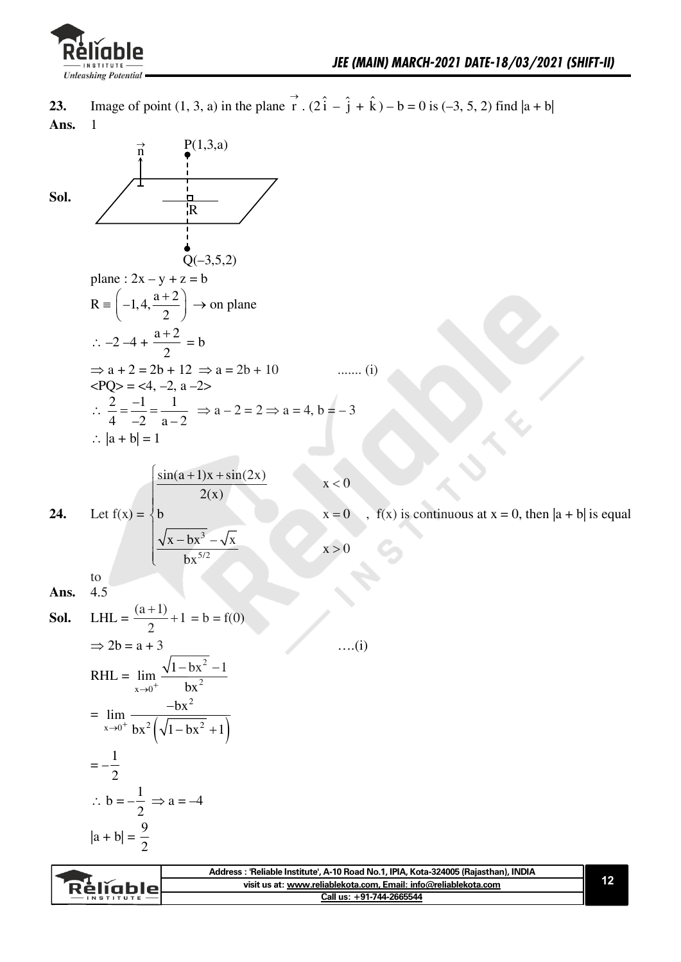

 $\overrightarrow{n}$ 

Image of point (1, 3, a) in the plane  $\overrightarrow{r}$ .  $(2\hat{i} - \hat{j} + \hat{k}) - b = 0$  is (-3, 5, 2) find  $|a + b|$ 23. Ans.  $\mathbf{1}$ 

Sol.

 $P(1,3,a)$ 

$$
\text{Let } f(x) = \begin{cases} \frac{\sin(a+1)x + \sin(2x)}{2(x)} \\ b \end{cases}
$$

$$
x = 0
$$
,  $f(x)$  is continuous at  $x = 0$ , then  $|a + b|$  is equal

$$
\sqrt{x - bx^3} - \sqrt{x}
$$
  
bx<sup>5/2</sup>

 $\,$  to  $\,$  $4.5$ Ans.

24.

**Sol.** LHL = 
$$
\frac{(a+1)}{2} + 1 = b = f(0)
$$
  
\n $\Rightarrow 2b = a + 3$  ...(i)  
\nRHL =  $\lim_{x \to 0^+} \frac{\sqrt{1 - bx^2} - 1}{bx^2}$   
\n=  $\lim_{x \to 0^+} \frac{-bx^2}{bx^2 (\sqrt{1 - bx^2} + 1)}$   
\n=  $-\frac{1}{2}$   
\n $\therefore b = -\frac{1}{2} \Rightarrow a = -4$   
\n $|a + b| = \frac{9}{2}$ 

|                  | Address : 'Reliable Institute', A-10 Road No.1, IPIA, Kota-324005 (Rajasthan), INDIA |  |
|------------------|--------------------------------------------------------------------------------------|--|
| <b>Réliable</b>  | visit us at: www.reliablekota.com. Email: info@reliablekota.com                      |  |
| <b>INSTITUTE</b> | Call us: +91-744-2665544                                                             |  |
|                  |                                                                                      |  |

 $x < 0$ 

 $x > 0$